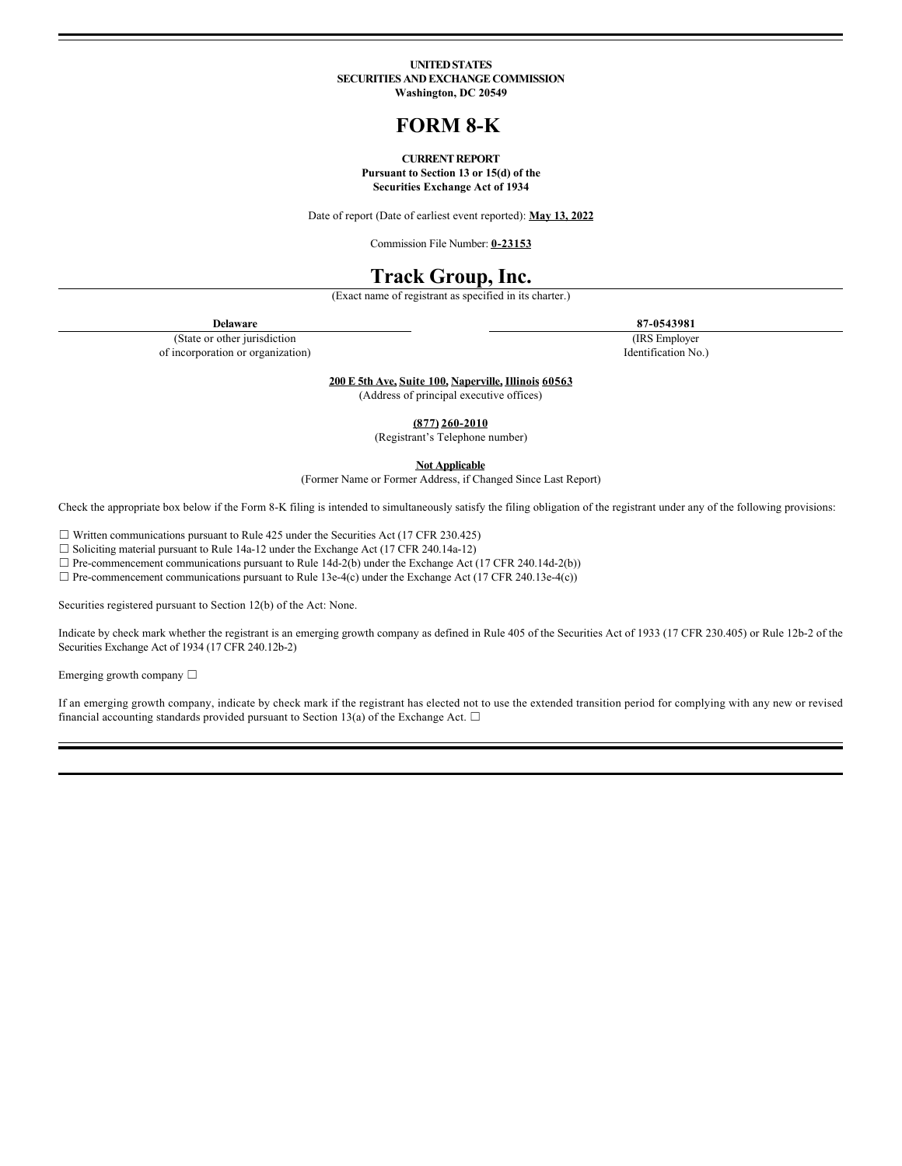#### **UNITED STATES SECURITIES AND EXCHANGE COMMISSION Washington, DC 20549**

# **FORM 8-K**

### **CURRENT REPORT Pursuant to Section 13 or 15(d) of the Securities Exchange Act of 1934**

Date of report (Date of earliest event reported): **May 13, 2022**

Commission File Number: **0-23153**

# **Track Group, Inc.**

(Exact name of registrant as specified in its charter.)

**Delaware 87-0543981**

(State or other jurisdiction of incorporation or organization) (IRS Employer

Identification No.)

**200 E 5th Ave, Suite 100, Naperville, Illinois 60563**

(Address of principal executive offices)

**(877) 260-2010**

(Registrant's Telephone number)

**Not Applicable**

(Former Name or Former Address, if Changed Since Last Report)

Check the appropriate box below if the Form 8-K filing is intended to simultaneously satisfy the filing obligation of the registrant under any of the following provisions:

☐ Written communications pursuant to Rule 425 under the Securities Act (17 CFR 230.425)

☐ Soliciting material pursuant to Rule 14a-12 under the Exchange Act (17 CFR 240.14a-12)

 $\Box$  Pre-commencement communications pursuant to Rule 14d-2(b) under the Exchange Act (17 CFR 240.14d-2(b))

 $\Box$  Pre-commencement communications pursuant to Rule 13e-4(c) under the Exchange Act (17 CFR 240.13e-4(c))

Securities registered pursuant to Section 12(b) of the Act: None.

Indicate by check mark whether the registrant is an emerging growth company as defined in Rule 405 of the Securities Act of 1933 (17 CFR 230.405) or Rule 12b-2 of the Securities Exchange Act of 1934 (17 CFR 240.12b-2)

Emerging growth company ☐

If an emerging growth company, indicate by check mark if the registrant has elected not to use the extended transition period for complying with any new or revised financial accounting standards provided pursuant to Section 13(a) of the Exchange Act.  $\Box$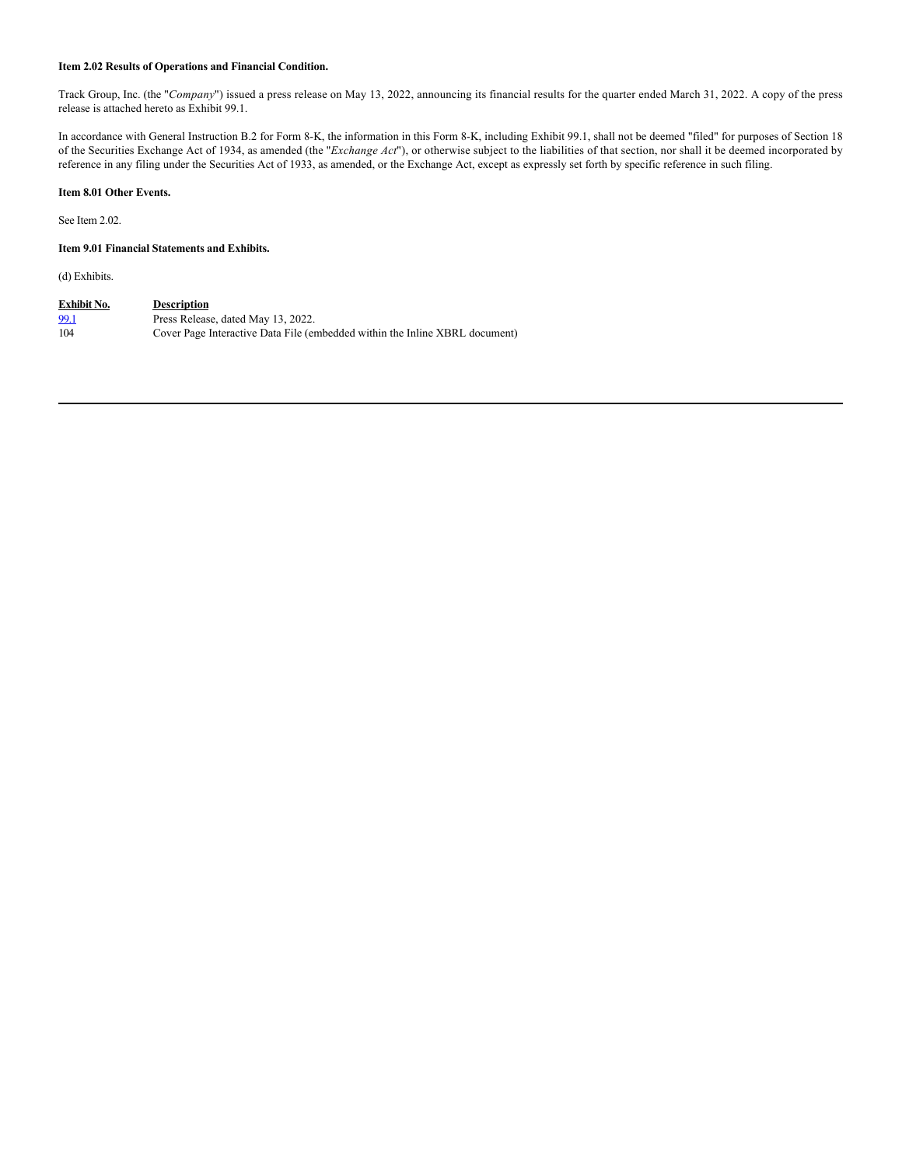## **Item 2.02 Results of Operations and Financial Condition.**

Track Group, Inc. (the "*Company*") issued a press release on May 13, 2022, announcing its financial results for the quarter ended March 31, 2022. A copy of the press release is attached hereto as Exhibit 99.1.

In accordance with General Instruction B.2 for Form 8-K, the information in this Form 8-K, including Exhibit 99.1, shall not be deemed "filed" for purposes of Section 18 of the Securities Exchange Act of 1934, as amended (the "*Exchange Act*"), or otherwise subject to the liabilities of that section, nor shall it be deemed incorporated by reference in any filing under the Securities Act of 1933, as amended, or the Exchange Act, except as expressly set forth by specific reference in such filing.

## **Item 8.01 Other Events.**

See Item 2.02.

## **Item 9.01 Financial Statements and Exhibits.**

(d) Exhibits.

| Exhibit No. | <b>Description</b>                                                          |
|-------------|-----------------------------------------------------------------------------|
| <u>99.1</u> | Press Release, dated May 13, 2022.                                          |
| 104         | Cover Page Interactive Data File (embedded within the Inline XBRL document) |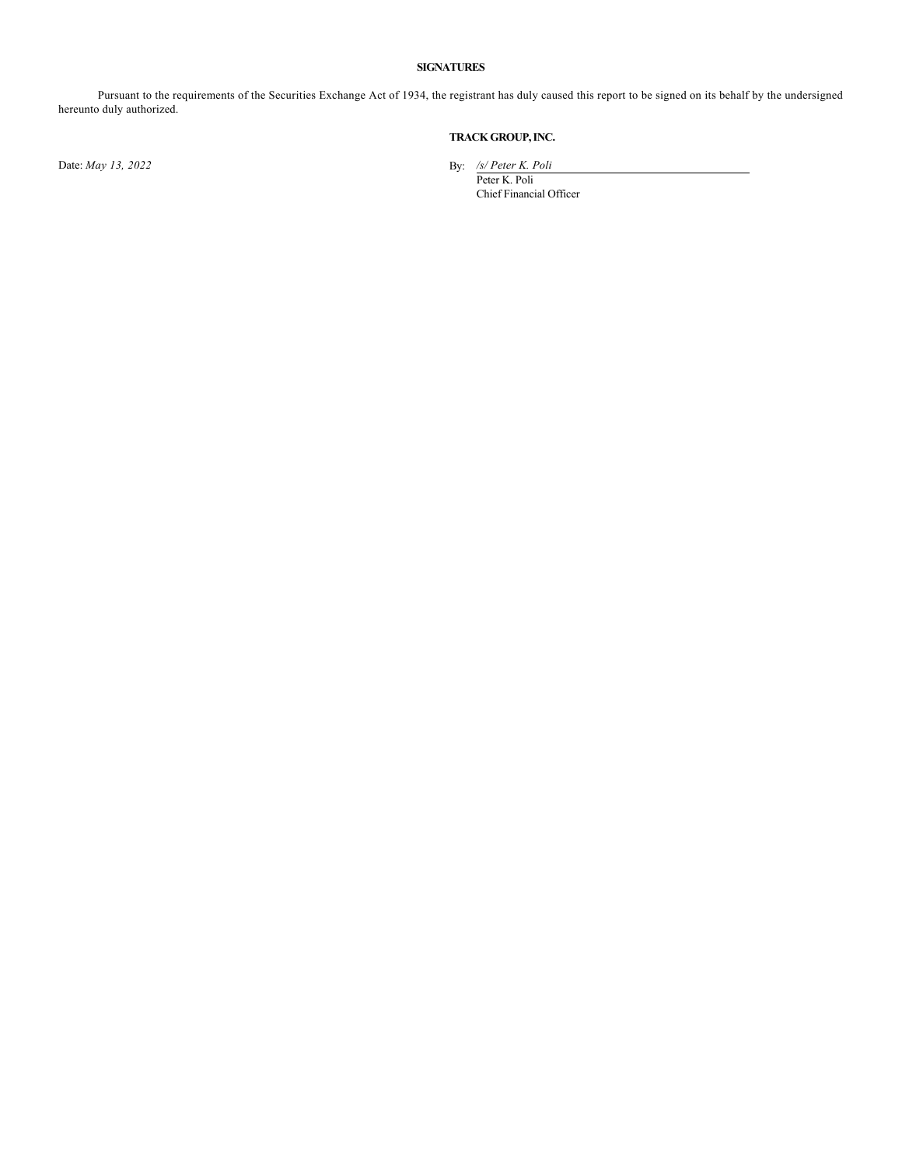## **SIGNATURES**

Pursuant to the requirements of the Securities Exchange Act of 1934, the registrant has duly caused this report to be signed on its behalf by the undersigned hereunto duly authorized.

# **TRACK GROUP, INC.**

Date: *May 13, 2022* By: */s/ Peter K. Poli*

Peter K. Poli Chief Financial Officer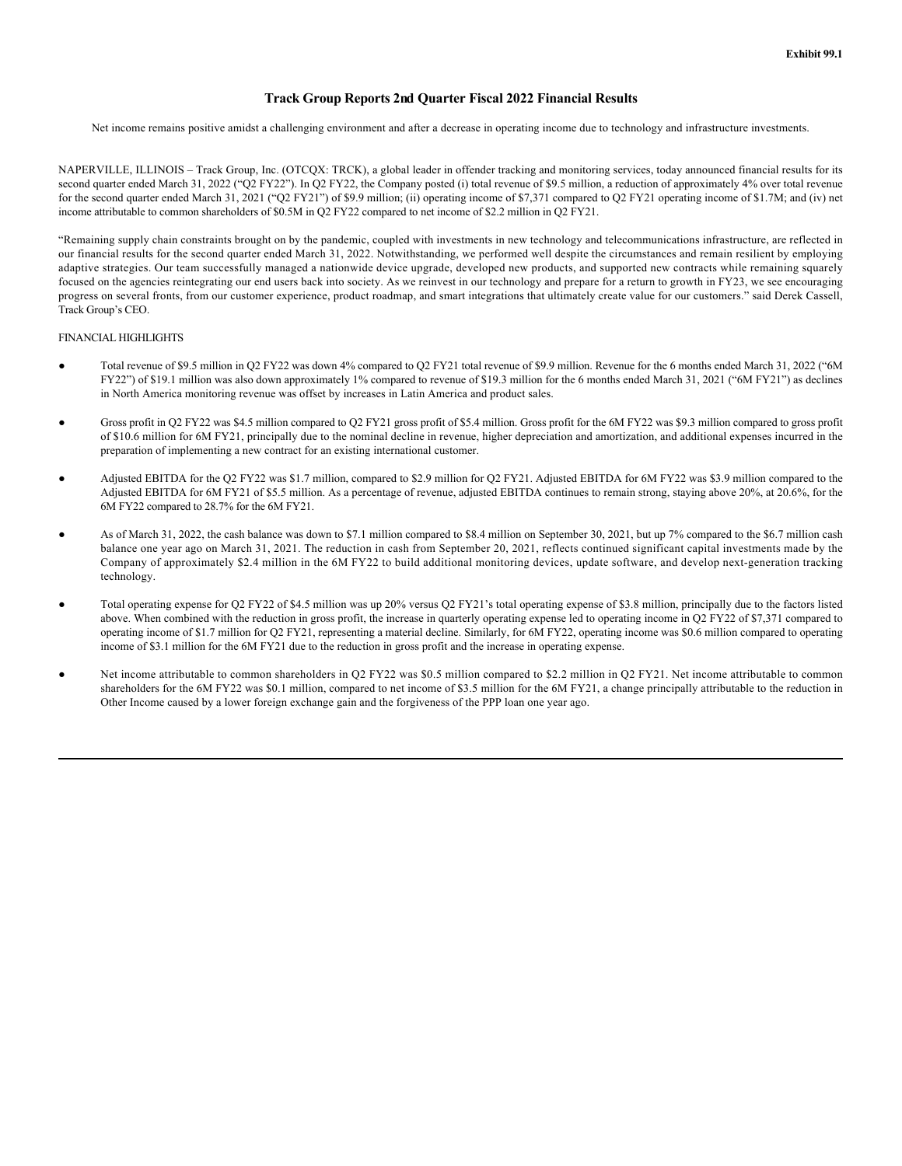# **Track Group Reports 2nd Quarter Fiscal 2022 Financial Results**

Net income remains positive amidst a challenging environment and after a decrease in operating income due to technology and infrastructure investments.

NAPERVILLE, ILLINOIS – Track Group, Inc. (OTCQX: TRCK), a global leader in offender tracking and monitoring services, today announced financial results for its second quarter ended March 31, 2022 ("Q2 FY22"). In Q2 FY22, the Company posted (i) total revenue of \$9.5 million, a reduction of approximately 4% over total revenue for the second quarter ended March 31, 2021 ("Q2 FY21") of \$9.9 million; (ii) operating income of \$7,371 compared to Q2 FY21 operating income of \$1.7M; and (iv) net income attributable to common shareholders of \$0.5M in Q2 FY22 compared to net income of \$2.2 million in Q2 FY21.

"Remaining supply chain constraints brought on by the pandemic, coupled with investments in new technology and telecommunications infrastructure, are reflected in our financial results for the second quarter ended March 31, 2022. Notwithstanding, we performed well despite the circumstances and remain resilient by employing adaptive strategies. Our team successfully managed a nationwide device upgrade, developed new products, and supported new contracts while remaining squarely focused on the agencies reintegrating our end users back into society. As we reinvest in our technology and prepare for a return to growth in FY23, we see encouraging progress on several fronts, from our customer experience, product roadmap, and smart integrations that ultimately create value for our customers." said Derek Cassell, Track Group's CEO.

## FINANCIAL HIGHLIGHTS

- Total revenue of \$9.5 million in Q2 FY22 was down 4% compared to Q2 FY21 total revenue of \$9.9 million. Revenue for the 6 months ended March 31, 2022 ("6M FY22") of \$19.1 million was also down approximately 1% compared to revenue of \$19.3 million for the 6 months ended March 31, 2021 ("6M FY21") as declines in North America monitoring revenue was offset by increases in Latin America and product sales.
- Gross profit in Q2 FY22 was \$4.5 million compared to Q2 FY21 gross profit of \$5.4 million. Gross profit for the 6M FY22 was \$9.3 million compared to gross profit of \$10.6 million for 6M FY21, principally due to the nominal decline in revenue, higher depreciation and amortization, and additional expenses incurred in the preparation of implementing a new contract for an existing international customer.
- Adjusted EBITDA for the Q2 FY22 was \$1.7 million, compared to \$2.9 million for Q2 FY21. Adjusted EBITDA for 6M FY22 was \$3.9 million compared to the Adjusted EBITDA for 6M FY21 of \$5.5 million. As a percentage of revenue, adjusted EBITDA continues to remain strong, staying above 20%, at 20.6%, for the 6M FY22 compared to 28.7% for the 6M FY21.
- As of March 31, 2022, the cash balance was down to \$7.1 million compared to \$8.4 million on September 30, 2021, but up 7% compared to the \$6.7 million cash balance one year ago on March 31, 2021. The reduction in cash from September 20, 2021, reflects continued significant capital investments made by the Company of approximately \$2.4 million in the 6M FY22 to build additional monitoring devices, update software, and develop next-generation tracking technology.
- Total operating expense for Q2 FY22 of \$4.5 million was up 20% versus Q2 FY21's total operating expense of \$3.8 million, principally due to the factors listed above. When combined with the reduction in gross profit, the increase in quarterly operating expense led to operating income in Q2 FY22 of \$7,371 compared to operating income of \$1.7 million for Q2 FY21, representing a material decline. Similarly, for 6M FY22, operating income was \$0.6 million compared to operating income of \$3.1 million for the 6M FY21 due to the reduction in gross profit and the increase in operating expense.
- Net income attributable to common shareholders in Q2 FY22 was \$0.5 million compared to \$2.2 million in Q2 FY21. Net income attributable to common shareholders for the 6M FY22 was \$0.1 million, compared to net income of \$3.5 million for the 6M FY21, a change principally attributable to the reduction in Other Income caused by a lower foreign exchange gain and the forgiveness of the PPP loan one year ago.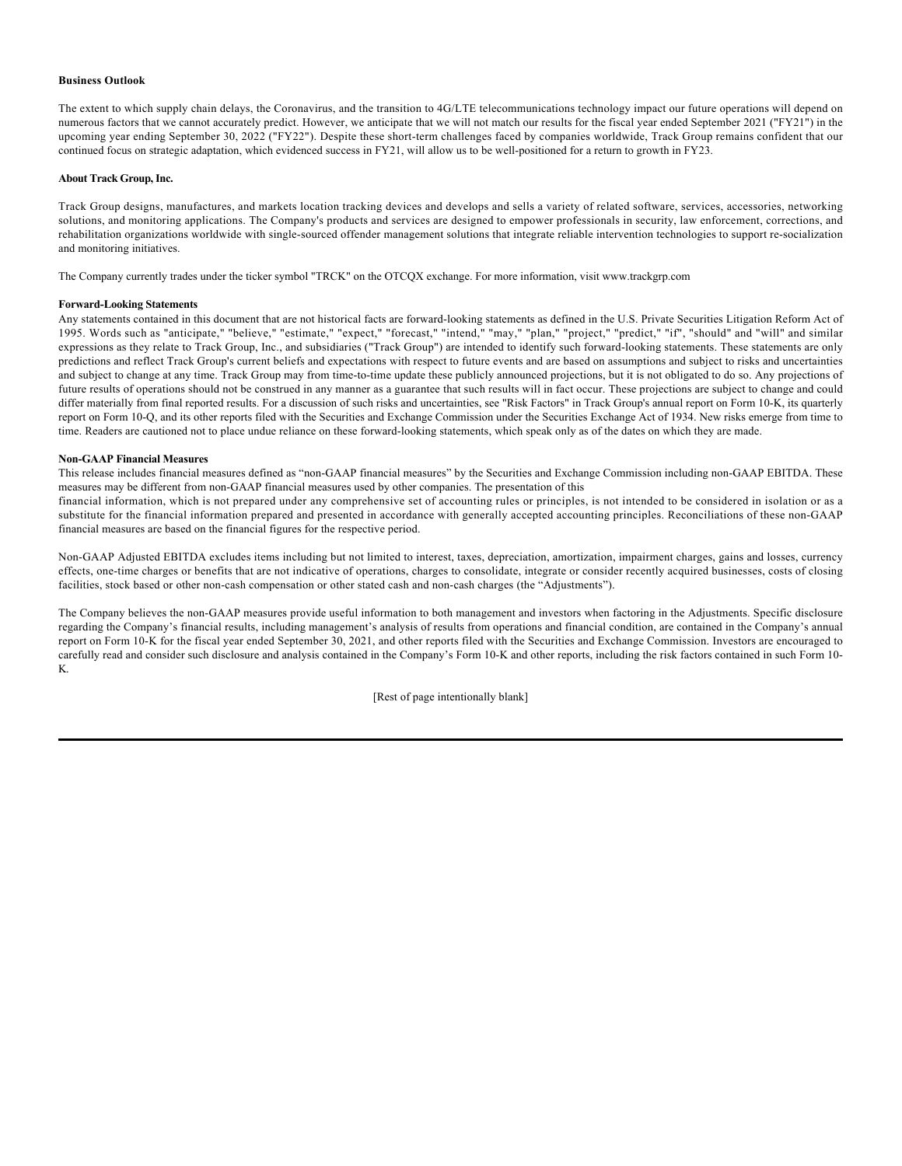### **Business Outlook**

The extent to which supply chain delays, the Coronavirus, and the transition to 4G/LTE telecommunications technology impact our future operations will depend on numerous factors that we cannot accurately predict. However, we anticipate that we will not match our results for the fiscal year ended September 2021 ("FY21") in the upcoming year ending September 30, 2022 ("FY22"). Despite these short-term challenges faced by companies worldwide, Track Group remains confident that our continued focus on strategic adaptation, which evidenced success in FY21, will allow us to be well-positioned for a return to growth in FY23.

#### **About Track Group, Inc.**

Track Group designs, manufactures, and markets location tracking devices and develops and sells a variety of related software, services, accessories, networking solutions, and monitoring applications. The Company's products and services are designed to empower professionals in security, law enforcement, corrections, and rehabilitation organizations worldwide with single-sourced offender management solutions that integrate reliable intervention technologies to support re-socialization and monitoring initiatives.

The Company currently trades under the ticker symbol "TRCK" on the OTCQX exchange. For more information, visit www.trackgrp.com

#### **Forward-Looking Statements**

Any statements contained in this document that are not historical facts are forward-looking statements as defined in the U.S. Private Securities Litigation Reform Act of 1995. Words such as "anticipate," "believe," "estimate," "expect," "forecast," "intend," "may," "plan," "project," "predict," "if", "should" and "will" and similar expressions as they relate to Track Group, Inc., and subsidiaries ("Track Group") are intended to identify such forward-looking statements. These statements are only predictions and reflect Track Group's current beliefs and expectations with respect to future events and are based on assumptions and subject to risks and uncertainties and subject to change at any time. Track Group may from time-to-time update these publicly announced projections, but it is not obligated to do so. Any projections of future results of operations should not be construed in any manner as a guarantee that such results will in fact occur. These projections are subject to change and could differ materially from final reported results. For a discussion of such risks and uncertainties, see "Risk Factors" in Track Group's annual report on Form 10-K, its quarterly report on Form 10-Q, and its other reports filed with the Securities and Exchange Commission under the Securities Exchange Act of 1934. New risks emerge from time to time. Readers are cautioned not to place undue reliance on these forward-looking statements, which speak only as of the dates on which they are made.

## **Non-GAAP Financial Measures**

This release includes financial measures defined as "non-GAAP financial measures" by the Securities and Exchange Commission including non-GAAP EBITDA. These measures may be different from non-GAAP financial measures used by other companies. The presentation of this

financial information, which is not prepared under any comprehensive set of accounting rules or principles, is not intended to be considered in isolation or as a substitute for the financial information prepared and presented in accordance with generally accepted accounting principles. Reconciliations of these non-GAAP financial measures are based on the financial figures for the respective period.

Non-GAAP Adjusted EBITDA excludes items including but not limited to interest, taxes, depreciation, amortization, impairment charges, gains and losses, currency effects, one-time charges or benefits that are not indicative of operations, charges to consolidate, integrate or consider recently acquired businesses, costs of closing facilities, stock based or other non-cash compensation or other stated cash and non-cash charges (the "Adjustments").

The Company believes the non-GAAP measures provide useful information to both management and investors when factoring in the Adjustments. Specific disclosure regarding the Company's financial results, including management's analysis of results from operations and financial condition, are contained in the Company's annual report on Form 10-K for the fiscal year ended September 30, 2021, and other reports filed with the Securities and Exchange Commission. Investors are encouraged to carefully read and consider such disclosure and analysis contained in the Company's Form 10-K and other reports, including the risk factors contained in such Form 10- K.

[Rest of page intentionally blank]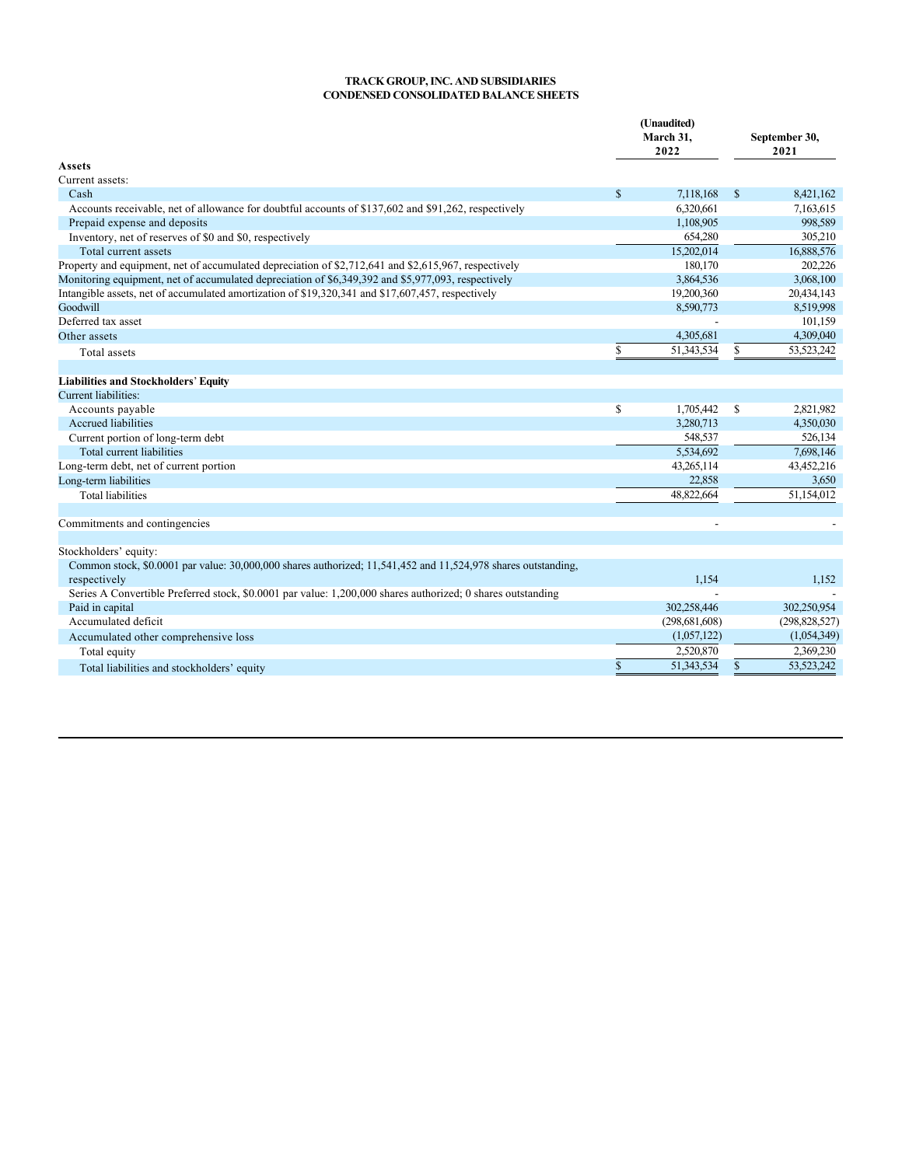## **TRACK GROUP, INC. AND SUBSIDIARIES CONDENSED CONSOLIDATED BALANCE SHEETS**

|                                                                                                                               |              | (Unaudited)<br>March 31,<br>2022 |               | September 30,<br>2021 |
|-------------------------------------------------------------------------------------------------------------------------------|--------------|----------------------------------|---------------|-----------------------|
| Assets                                                                                                                        |              |                                  |               |                       |
| Current assets:                                                                                                               |              |                                  |               |                       |
| Cash                                                                                                                          | $\mathbb{S}$ | 7,118,168                        | $\mathbb{S}$  | 8,421,162             |
| Accounts receivable, net of allowance for doubtful accounts of \$137,602 and \$91,262, respectively                           |              | 6,320,661                        |               | 7,163,615             |
| Prepaid expense and deposits                                                                                                  |              | 1,108,905                        |               | 998,589               |
| Inventory, net of reserves of \$0 and \$0, respectively                                                                       |              | 654,280                          |               | 305,210               |
| Total current assets                                                                                                          |              | 15,202,014                       |               | 16,888,576            |
| Property and equipment, net of accumulated depreciation of \$2,712,641 and \$2,615,967, respectively                          |              | 180,170                          |               | 202,226               |
| Monitoring equipment, net of accumulated depreciation of \$6,349,392 and \$5,977,093, respectively                            |              | 3.864.536                        |               | 3,068,100             |
| Intangible assets, net of accumulated amortization of \$19,320,341 and \$17,607,457, respectively                             |              | 19,200,360                       |               | 20,434,143            |
| Goodwill                                                                                                                      |              | 8.590.773                        |               | 8,519,998             |
| Deferred tax asset                                                                                                            |              |                                  |               | 101,159               |
| Other assets                                                                                                                  |              | 4,305,681                        |               | 4,309,040             |
| Total assets                                                                                                                  | \$           | 51,343,534                       | \$            | 53,523,242            |
|                                                                                                                               |              |                                  |               |                       |
| <b>Liabilities and Stockholders' Equity</b>                                                                                   |              |                                  |               |                       |
| <b>Current liabilities:</b>                                                                                                   |              |                                  |               |                       |
| Accounts payable                                                                                                              | $\mathbb{S}$ | 1,705,442                        | <sup>\$</sup> | 2,821,982             |
| Accrued liabilities                                                                                                           |              | 3,280,713                        |               | 4,350,030             |
| Current portion of long-term debt                                                                                             |              | 548,537                          |               | 526,134               |
| Total current liabilities                                                                                                     |              | 5,534,692                        |               | 7,698,146             |
| Long-term debt, net of current portion                                                                                        |              | 43,265,114                       |               | 43,452,216            |
| Long-term liabilities                                                                                                         |              | 22,858                           |               | 3,650                 |
| <b>Total liabilities</b>                                                                                                      |              | 48,822,664                       |               | 51,154,012            |
| Commitments and contingencies                                                                                                 |              |                                  |               |                       |
|                                                                                                                               |              |                                  |               |                       |
| Stockholders' equity:                                                                                                         |              |                                  |               |                       |
| Common stock, \$0.0001 par value: 30,000,000 shares authorized; 11,541,452 and 11,524,978 shares outstanding,<br>respectively |              | 1,154                            |               | 1,152                 |
| Series A Convertible Preferred stock, \$0.0001 par value: 1,200,000 shares authorized; 0 shares outstanding                   |              |                                  |               |                       |
| Paid in capital                                                                                                               |              | 302.258,446                      |               | 302,250,954           |
| Accumulated deficit                                                                                                           |              | (298, 681, 608)                  |               | (298, 828, 527)       |
| Accumulated other comprehensive loss                                                                                          |              | (1,057,122)                      |               | (1,054,349)           |
| Total equity                                                                                                                  |              | 2,520,870                        |               | 2,369,230             |
| Total liabilities and stockholders' equity                                                                                    | \$           | 51,343,534                       | <sup>\$</sup> | 53,523,242            |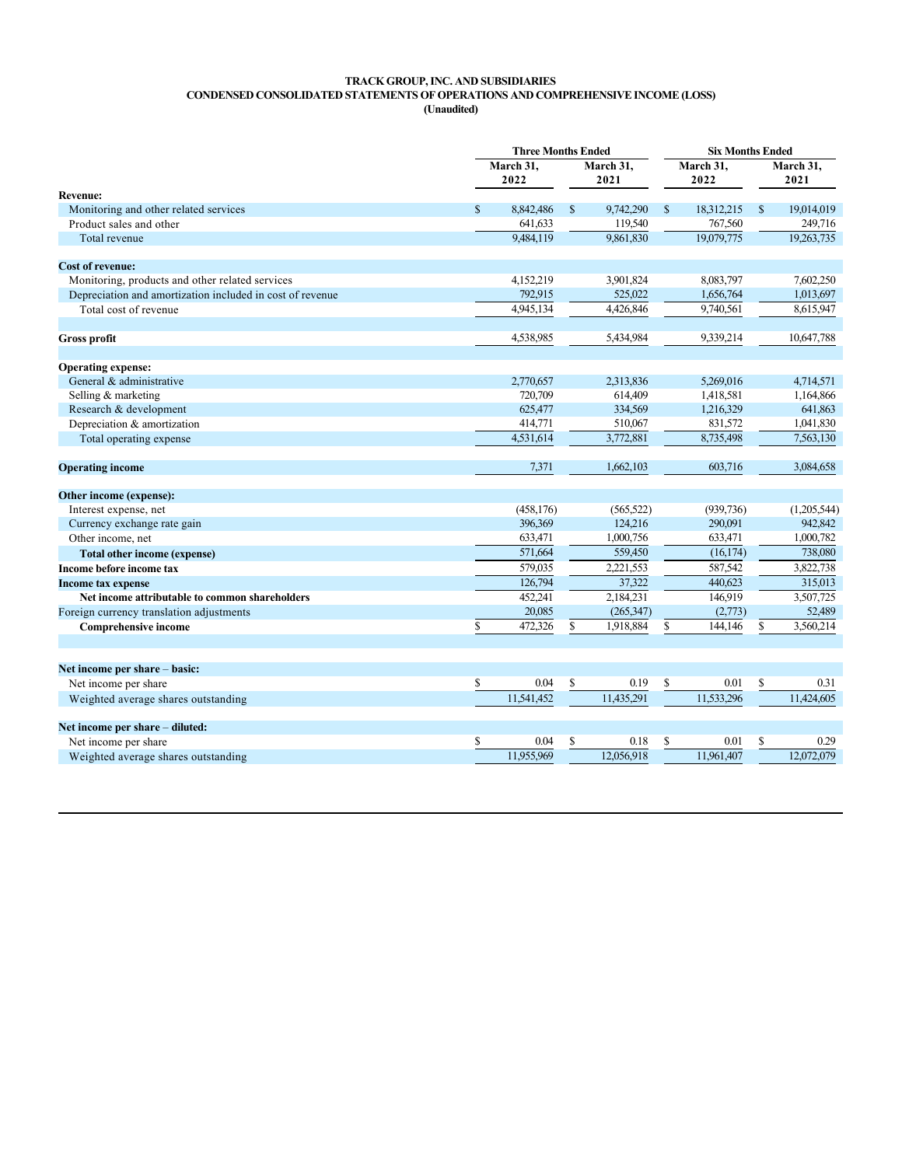# **TRACK GROUP, INC. AND SUBSIDIARIES CONDENSED CONSOLIDATED STATEMENTS OF OPERATIONS AND COMPREHENSIVE INCOME (LOSS)**

**(Unaudited)**

|                                                           |                   | <b>Three Months Ended</b> |                   |            |                   | <b>Six Months Ended</b> |               |                   |  |  |  |
|-----------------------------------------------------------|-------------------|---------------------------|-------------------|------------|-------------------|-------------------------|---------------|-------------------|--|--|--|
|                                                           | March 31,<br>2022 |                           | March 31,<br>2021 |            | March 31,<br>2022 |                         |               | March 31,<br>2021 |  |  |  |
| <b>Revenue:</b>                                           |                   |                           |                   |            |                   |                         |               |                   |  |  |  |
| Monitoring and other related services                     | $\mathbb{S}$      | 8.842,486                 | $\mathbb{S}$      | 9,742,290  | $\mathbb{S}$      | 18,312,215              | $\mathcal{S}$ | 19,014,019        |  |  |  |
| Product sales and other                                   |                   | 641,633                   |                   | 119,540    |                   | 767,560                 |               | 249,716           |  |  |  |
| Total revenue                                             |                   | 9.484,119                 |                   | 9,861,830  |                   | 19,079,775              |               | 19,263,735        |  |  |  |
| <b>Cost of revenue:</b>                                   |                   |                           |                   |            |                   |                         |               |                   |  |  |  |
| Monitoring, products and other related services           |                   | 4,152,219                 |                   | 3,901,824  |                   | 8,083,797               |               | 7,602,250         |  |  |  |
| Depreciation and amortization included in cost of revenue |                   | 792,915                   |                   | 525,022    |                   | 1,656,764               |               | 1,013,697         |  |  |  |
| Total cost of revenue                                     |                   | 4,945,134                 |                   | 4,426,846  |                   | 9,740,561               |               | 8,615,947         |  |  |  |
| <b>Gross profit</b>                                       |                   | 4,538,985                 |                   | 5,434,984  |                   | 9,339,214               |               | 10,647,788        |  |  |  |
|                                                           |                   |                           |                   |            |                   |                         |               |                   |  |  |  |
| <b>Operating expense:</b>                                 |                   |                           |                   |            |                   |                         |               |                   |  |  |  |
| General & administrative                                  |                   | 2,770,657                 |                   | 2,313,836  |                   | 5,269,016               |               | 4,714,571         |  |  |  |
| Selling & marketing                                       |                   | 720,709                   |                   | 614,409    |                   | 1,418,581               |               | 1,164,866         |  |  |  |
| Research & development                                    |                   | 625,477                   |                   | 334,569    |                   | 1,216,329               |               | 641,863           |  |  |  |
| Depreciation & amortization                               |                   | 414,771                   |                   | 510,067    |                   | 831,572                 |               | 1,041,830         |  |  |  |
| Total operating expense                                   |                   | 4,531,614                 |                   | 3,772,881  |                   | 8,735,498               |               | 7,563,130         |  |  |  |
| <b>Operating income</b>                                   |                   | 7,371                     |                   | 1,662,103  |                   | 603,716                 |               | 3,084,658         |  |  |  |
| Other income (expense):                                   |                   |                           |                   |            |                   |                         |               |                   |  |  |  |
| Interest expense, net                                     |                   | (458, 176)                |                   | (565, 522) |                   | (939, 736)              |               | (1,205,544)       |  |  |  |
| Currency exchange rate gain                               |                   | 396,369                   |                   | 124,216    |                   | 290,091                 |               | 942.842           |  |  |  |
| Other income, net                                         |                   | 633,471                   |                   | 1,000,756  |                   | 633,471                 |               | 1,000,782         |  |  |  |
| <b>Total other income (expense)</b>                       |                   | 571,664                   |                   | 559,450    |                   | (16, 174)               |               | 738,080           |  |  |  |
| Income before income tax                                  |                   | 579,035                   |                   | 2,221,553  |                   | 587,542                 |               | 3,822,738         |  |  |  |
| <b>Income tax expense</b>                                 |                   | 126,794                   |                   | 37.322     |                   | 440,623                 |               | 315.013           |  |  |  |
| Net income attributable to common shareholders            |                   | 452,241                   |                   | 2,184,231  |                   | 146,919                 |               | 3,507,725         |  |  |  |
| Foreign currency translation adjustments                  |                   | 20,085                    |                   | (265, 347) |                   | (2,773)                 |               | 52,489            |  |  |  |
| <b>Comprehensive income</b>                               | \$                | 472,326                   | \$                | 1,918,884  | \$                | 144,146                 | \$            | 3,560,214         |  |  |  |
|                                                           |                   |                           |                   |            |                   |                         |               |                   |  |  |  |
| Net income per share - basic:                             |                   |                           |                   |            |                   |                         |               |                   |  |  |  |
| Net income per share                                      | \$                | 0.04                      | \$                | 0.19       | \$                | 0.01                    | \$            | 0.31              |  |  |  |
| Weighted average shares outstanding                       |                   | 11.541.452                |                   | 11.435.291 |                   | 11.533.296              |               | 11,424,605        |  |  |  |
| Net income per share - diluted:                           |                   |                           |                   |            |                   |                         |               |                   |  |  |  |
| Net income per share                                      | \$                | 0.04                      | \$                | 0.18       | \$                | 0.01                    | \$            | 0.29              |  |  |  |
| Weighted average shares outstanding                       |                   | 11,955,969                |                   | 12,056,918 |                   | 11.961.407              |               | 12,072,079        |  |  |  |